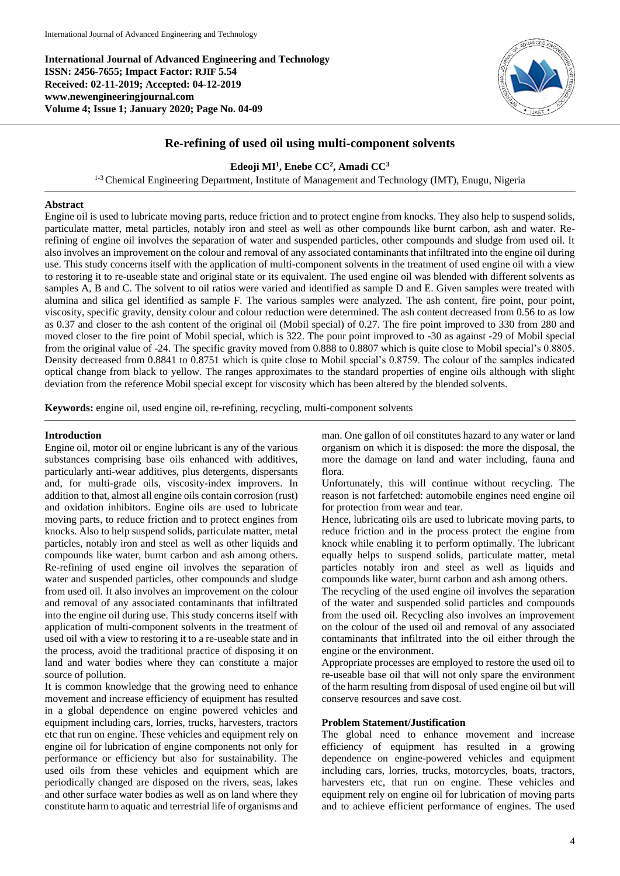**International Journal of Advanced Engineering and Technology ISSN: 2456-7655; Impact Factor: RJIF 5.54 Received: 02-11-2019; Accepted: 04-12-2019 www.newengineeringjournal.com Volume 4; Issue 1; January 2020; Page No. 04-09**



# **Re-refining of used oil using multi-component solvents**

## **Edeoji MI<sup>1</sup> , Enebe CC<sup>2</sup> , Amadi CC<sup>3</sup>**

<sup>1-3</sup> Chemical Engineering Department, Institute of Management and Technology (IMT), Enugu, Nigeria

## **Abstract**

Engine oil is used to lubricate moving parts, reduce friction and to protect engine from knocks. They also help to suspend solids, particulate matter, metal particles, notably iron and steel as well as other compounds like burnt carbon, ash and water. Rerefining of engine oil involves the separation of water and suspended particles, other compounds and sludge from used oil. It also involves an improvement on the colour and removal of any associated contaminants that infiltrated into the engine oil during use. This study concerns itself with the application of multi-component solvents in the treatment of used engine oil with a view to restoring it to re-useable state and original state or its equivalent. The used engine oil was blended with different solvents as samples A, B and C. The solvent to oil ratios were varied and identified as sample D and E. Given samples were treated with alumina and silica gel identified as sample F. The various samples were analyzed. The ash content, fire point, pour point, viscosity, specific gravity, density colour and colour reduction were determined. The ash content decreased from 0.56 to as low as 0.37 and closer to the ash content of the original oil (Mobil special) of 0.27. The fire point improved to 330 from 280 and moved closer to the fire point of Mobil special, which is 322. The pour point improved to -30 as against -29 of Mobil special from the original value of -24. The specific gravity moved from 0.888 to 0.8807 which is quite close to Mobil special's 0.8805. Density decreased from 0.8841 to 0.8751 which is quite close to Mobil special's 0.8759. The colour of the samples indicated optical change from black to yellow. The ranges approximates to the standard properties of engine oils although with slight deviation from the reference Mobil special except for viscosity which has been altered by the blended solvents.

**Keywords:** engine oil, used engine oil, re-refining, recycling, multi-component solvents

#### **Introduction**

Engine oil, motor oil or engine lubricant is any of the various substances comprising base oils enhanced with additives, particularly anti-wear additives, plus detergents, dispersants and, for multi-grade oils, viscosity-index improvers. In addition to that, almost all engine oils contain corrosion (rust) and oxidation inhibitors. Engine oils are used to lubricate moving parts, to reduce friction and to protect engines from knocks. Also to help suspend solids, particulate matter, metal particles, notably iron and steel as well as other liquids and compounds like water, burnt carbon and ash among others. Re-refining of used engine oil involves the separation of water and suspended particles, other compounds and sludge from used oil. It also involves an improvement on the colour and removal of any associated contaminants that infiltrated into the engine oil during use. This study concerns itself with application of multi-component solvents in the treatment of used oil with a view to restoring it to a re-useable state and in the process, avoid the traditional practice of disposing it on land and water bodies where they can constitute a major source of pollution.

It is common knowledge that the growing need to enhance movement and increase efficiency of equipment has resulted in a global dependence on engine powered vehicles and equipment including cars, lorries, trucks, harvesters, tractors etc that run on engine. These vehicles and equipment rely on engine oil for lubrication of engine components not only for performance or efficiency but also for sustainability. The used oils from these vehicles and equipment which are periodically changed are disposed on the rivers, seas, lakes and other surface water bodies as well as on land where they constitute harm to aquatic and terrestrial life of organisms and man. One gallon of oil constitutes hazard to any water or land organism on which it is disposed: the more the disposal, the more the damage on land and water including, fauna and flora.

Unfortunately, this will continue without recycling. The reason is not farfetched: automobile engines need engine oil for protection from wear and tear.

Hence, lubricating oils are used to lubricate moving parts, to reduce friction and in the process protect the engine from knock while enabling it to perform optimally. The lubricant equally helps to suspend solids, particulate matter, metal particles notably iron and steel as well as liquids and compounds like water, burnt carbon and ash among others.

The recycling of the used engine oil involves the separation of the water and suspended solid particles and compounds from the used oil. Recycling also involves an improvement on the colour of the used oil and removal of any associated contaminants that infiltrated into the oil either through the engine or the environment.

Appropriate processes are employed to restore the used oil to re-useable base oil that will not only spare the environment of the harm resulting from disposal of used engine oil but will conserve resources and save cost.

## **Problem Statement/Justification**

The global need to enhance movement and increase efficiency of equipment has resulted in a growing dependence on engine-powered vehicles and equipment including cars, lorries, trucks, motorcycles, boats, tractors, harvesters etc, that run on engine. These vehicles and equipment rely on engine oil for lubrication of moving parts and to achieve efficient performance of engines. The used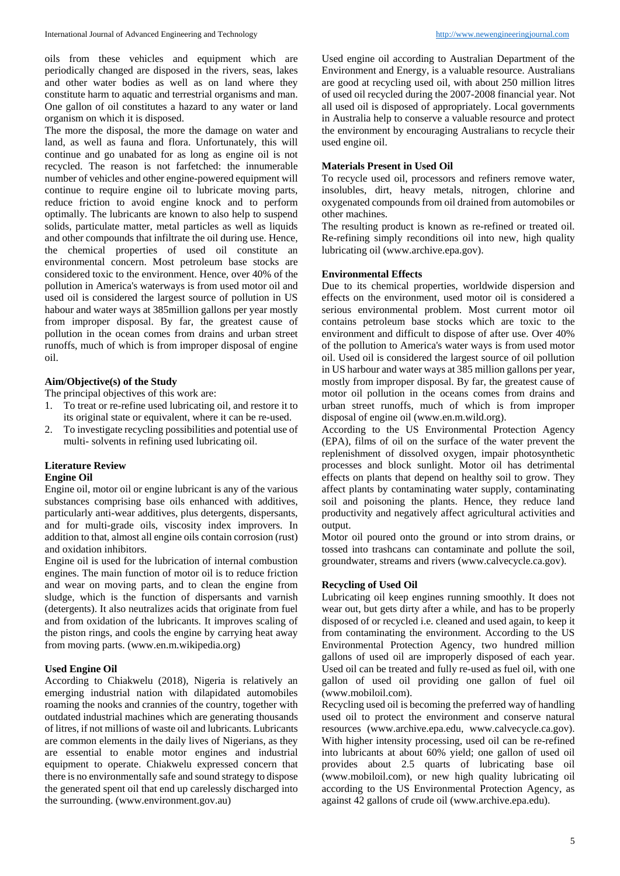oils from these vehicles and equipment which are periodically changed are disposed in the rivers, seas, lakes and other water bodies as well as on land where they constitute harm to aquatic and terrestrial organisms and man. One gallon of oil constitutes a hazard to any water or land organism on which it is disposed.

The more the disposal, the more the damage on water and land, as well as fauna and flora. Unfortunately, this will continue and go unabated for as long as engine oil is not recycled. The reason is not farfetched: the innumerable number of vehicles and other engine-powered equipment will continue to require engine oil to lubricate moving parts, reduce friction to avoid engine knock and to perform optimally. The lubricants are known to also help to suspend solids, particulate matter, metal particles as well as liquids and other compounds that infiltrate the oil during use. Hence, the chemical properties of used oil constitute an environmental concern. Most petroleum base stocks are considered toxic to the environment. Hence, over 40% of the pollution in America's waterways is from used motor oil and used oil is considered the largest source of pollution in US habour and water ways at 385million gallons per year mostly from improper disposal. By far, the greatest cause of pollution in the ocean comes from drains and urban street runoffs, much of which is from improper disposal of engine oil.

## **Aim/Objective(s) of the Study**

The principal objectives of this work are:

- 1. To treat or re-refine used lubricating oil, and restore it to its original state or equivalent, where it can be re-used.
- 2. To investigate recycling possibilities and potential use of multi- solvents in refining used lubricating oil.

# **Literature Review**

# **Engine Oil**

Engine oil, motor oil or engine lubricant is any of the various substances comprising base oils enhanced with additives, particularly anti-wear additives, plus detergents, dispersants, and for multi-grade oils, viscosity index improvers. In addition to that, almost all engine oils contain corrosion (rust) and oxidation inhibitors.

Engine oil is used for the lubrication of internal combustion engines. The main function of motor oil is to reduce friction and wear on moving parts, and to clean the engine from sludge, which is the function of dispersants and varnish (detergents). It also neutralizes acids that originate from fuel and from oxidation of the lubricants. It improves scaling of the piston rings, and cools the engine by carrying heat away from moving parts. (www.en.m.wikipedia.org)

## **Used Engine Oil**

According to Chiakwelu (2018), Nigeria is relatively an emerging industrial nation with dilapidated automobiles roaming the nooks and crannies of the country, together with outdated industrial machines which are generating thousands of litres, if not millions of waste oil and lubricants. Lubricants are common elements in the daily lives of Nigerians, as they are essential to enable motor engines and industrial equipment to operate. Chiakwelu expressed concern that there is no environmentally safe and sound strategy to dispose the generated spent oil that end up carelessly discharged into the surrounding. (www.environment.gov.au)

Used engine oil according to Australian Department of the Environment and Energy, is a valuable resource. Australians are good at recycling used oil, with about 250 million litres of used oil recycled during the 2007-2008 financial year. Not all used oil is disposed of appropriately. Local governments in Australia help to conserve a valuable resource and protect the environment by encouraging Australians to recycle their used engine oil.

## **Materials Present in Used Oil**

To recycle used oil, processors and refiners remove water, insolubles, dirt, heavy metals, nitrogen, chlorine and oxygenated compounds from oil drained from automobiles or other machines.

The resulting product is known as re-refined or treated oil. Re-refining simply reconditions oil into new, high quality lubricating oil (www.archive.epa.gov).

## **Environmental Effects**

Due to its chemical properties, worldwide dispersion and effects on the environment, used motor oil is considered a serious environmental problem. Most current motor oil contains petroleum base stocks which are toxic to the environment and difficult to dispose of after use. Over 40% of the pollution to America's water ways is from used motor oil. Used oil is considered the largest source of oil pollution in US harbour and water ways at 385 million gallons per year, mostly from improper disposal. By far, the greatest cause of motor oil pollution in the oceans comes from drains and urban street runoffs, much of which is from improper disposal of engine oil (www.en.m.wild.org).

According to the US Environmental Protection Agency (EPA), films of oil on the surface of the water prevent the replenishment of dissolved oxygen, impair photosynthetic processes and block sunlight. Motor oil has detrimental effects on plants that depend on healthy soil to grow. They affect plants by contaminating water supply, contaminating soil and poisoning the plants. Hence, they reduce land productivity and negatively affect agricultural activities and output.

Motor oil poured onto the ground or into strom drains, or tossed into trashcans can contaminate and pollute the soil, groundwater, streams and rivers (www.calvecycle.ca.gov).

## **Recycling of Used Oil**

Lubricating oil keep engines running smoothly. It does not wear out, but gets dirty after a while, and has to be properly disposed of or recycled i.e. cleaned and used again, to keep it from contaminating the environment. According to the US Environmental Protection Agency, two hundred million gallons of used oil are improperly disposed of each year. Used oil can be treated and fully re-used as fuel oil, with one gallon of used oil providing one gallon of fuel oil (www.mobiloil.com).

Recycling used oil is becoming the preferred way of handling used oil to protect the environment and conserve natural resources (www.archive.epa.edu, www.calvecycle.ca.gov). With higher intensity processing, used oil can be re-refined into lubricants at about 60% yield; one gallon of used oil provides about 2.5 quarts of lubricating base oil (www.mobiloil.com), or new high quality lubricating oil according to the US Environmental Protection Agency, as against 42 gallons of crude oil (www.archive.epa.edu).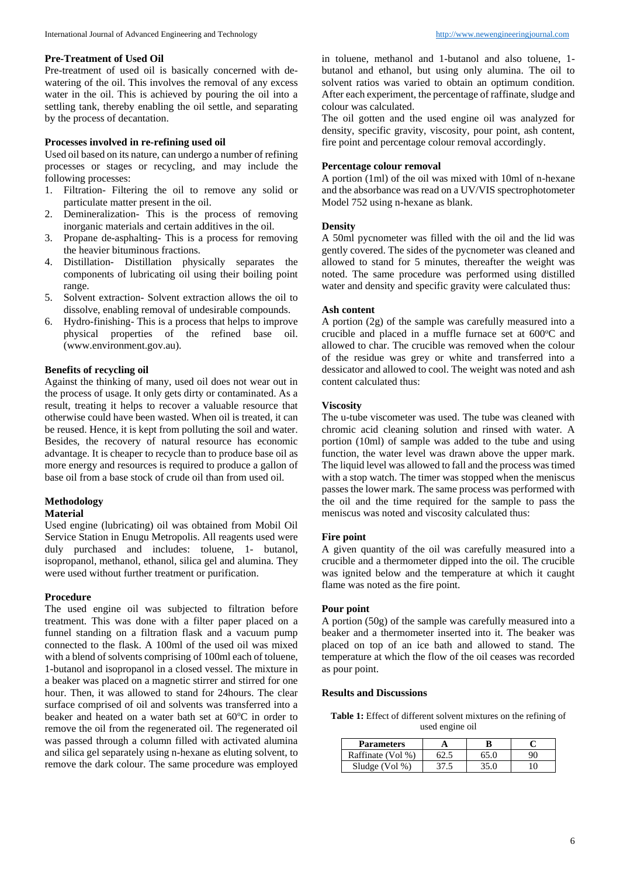## **Pre-Treatment of Used Oil**

Pre-treatment of used oil is basically concerned with dewatering of the oil. This involves the removal of any excess water in the oil. This is achieved by pouring the oil into a settling tank, thereby enabling the oil settle, and separating by the process of decantation.

## **Processes involved in re-refining used oil**

Used oil based on its nature, can undergo a number of refining processes or stages or recycling, and may include the following processes:

- 1. Filtration- Filtering the oil to remove any solid or particulate matter present in the oil.
- 2. Demineralization- This is the process of removing inorganic materials and certain additives in the oil.
- 3. Propane de-asphalting- This is a process for removing the heavier bituminous fractions.
- 4. Distillation- Distillation physically separates the components of lubricating oil using their boiling point range.
- 5. Solvent extraction- Solvent extraction allows the oil to dissolve, enabling removal of undesirable compounds.
- 6. Hydro-finishing- This is a process that helps to improve physical properties of the refined base oil. (www.environment.gov.au).

# **Benefits of recycling oil**

Against the thinking of many, used oil does not wear out in the process of usage. It only gets dirty or contaminated. As a result, treating it helps to recover a valuable resource that otherwise could have been wasted. When oil is treated, it can be reused. Hence, it is kept from polluting the soil and water. Besides, the recovery of natural resource has economic advantage. It is cheaper to recycle than to produce base oil as more energy and resources is required to produce a gallon of base oil from a base stock of crude oil than from used oil.

## **Methodology**

#### **Material**

Used engine (lubricating) oil was obtained from Mobil Oil Service Station in Enugu Metropolis. All reagents used were duly purchased and includes: toluene, 1- butanol, isopropanol, methanol, ethanol, silica gel and alumina. They were used without further treatment or purification.

## **Procedure**

The used engine oil was subjected to filtration before treatment. This was done with a filter paper placed on a funnel standing on a filtration flask and a vacuum pump connected to the flask. A 100ml of the used oil was mixed with a blend of solvents comprising of 100ml each of toluene, 1-butanol and isopropanol in a closed vessel. The mixture in a beaker was placed on a magnetic stirrer and stirred for one hour. Then, it was allowed to stand for 24hours. The clear surface comprised of oil and solvents was transferred into a beaker and heated on a water bath set at  $60^{\circ}$ C in order to remove the oil from the regenerated oil. The regenerated oil was passed through a column filled with activated alumina and silica gel separately using n-hexane as eluting solvent, to remove the dark colour. The same procedure was employed

in toluene, methanol and 1-butanol and also toluene, 1 butanol and ethanol, but using only alumina. The oil to solvent ratios was varied to obtain an optimum condition. After each experiment, the percentage of raffinate, sludge and colour was calculated.

The oil gotten and the used engine oil was analyzed for density, specific gravity, viscosity, pour point, ash content, fire point and percentage colour removal accordingly.

## **Percentage colour removal**

A portion (1ml) of the oil was mixed with 10ml of n-hexane and the absorbance was read on a UV/VIS spectrophotometer Model 752 using n-hexane as blank.

## **Density**

A 50ml pycnometer was filled with the oil and the lid was gently covered. The sides of the pycnometer was cleaned and allowed to stand for 5 minutes, thereafter the weight was noted. The same procedure was performed using distilled water and density and specific gravity were calculated thus:

## **Ash content**

A portion (2g) of the sample was carefully measured into a crucible and placed in a muffle furnace set at  $600^{\circ}$ C and allowed to char. The crucible was removed when the colour of the residue was grey or white and transferred into a dessicator and allowed to cool. The weight was noted and ash content calculated thus:

#### **Viscosity**

The u-tube viscometer was used. The tube was cleaned with chromic acid cleaning solution and rinsed with water. A portion (10ml) of sample was added to the tube and using function, the water level was drawn above the upper mark. The liquid level was allowed to fall and the process was timed with a stop watch. The timer was stopped when the meniscus passes the lower mark. The same process was performed with the oil and the time required for the sample to pass the meniscus was noted and viscosity calculated thus:

#### **Fire point**

A given quantity of the oil was carefully measured into a crucible and a thermometer dipped into the oil. The crucible was ignited below and the temperature at which it caught flame was noted as the fire point.

#### **Pour point**

A portion (50g) of the sample was carefully measured into a beaker and a thermometer inserted into it. The beaker was placed on top of an ice bath and allowed to stand. The temperature at which the flow of the oil ceases was recorded as pour point.

#### **Results and Discussions**

**Table 1:** Effect of different solvent mixtures on the refining of used engine oil

| <b>Parameters</b> |      |  |
|-------------------|------|--|
| Raffinate (Vol %) | 65.0 |  |
| Sludge $(Vol \%)$ | 35.0 |  |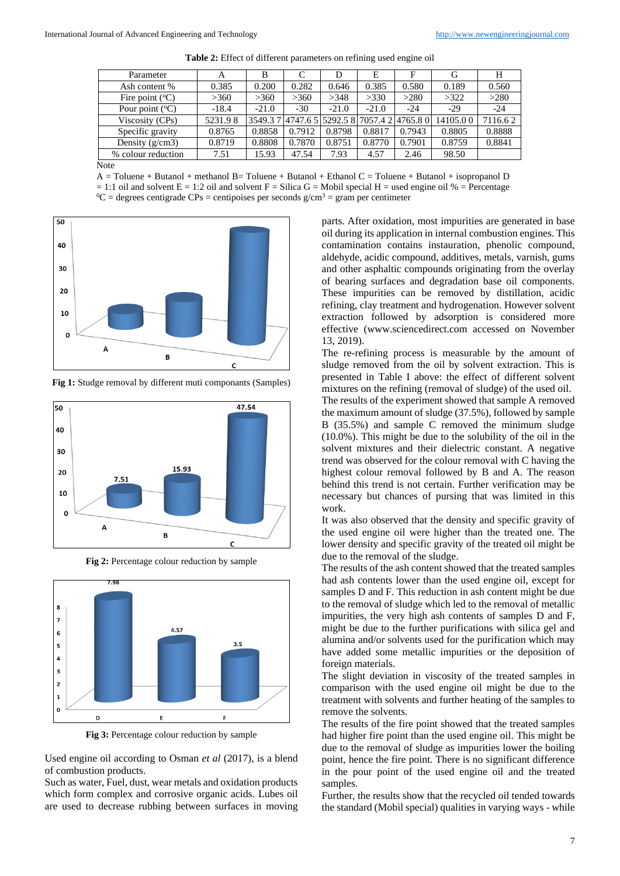| Parameter                | A       | В       | C      | D       | E                                            | F      | G        | Н       |
|--------------------------|---------|---------|--------|---------|----------------------------------------------|--------|----------|---------|
| Ash content %            | 0.385   | 0.200   | 0.282  | 0.646   | 0.385                                        | 0.580  | 0.189    | 0.560   |
| Fire point $(^{\circ}C)$ | >360    | >360    | >360   | >348    | >330                                         | >280   | >322     | >280    |
| Pour point $(^{\circ}C)$ | $-18.4$ | $-21.0$ | $-30$  | $-21.0$ | $-21.0$                                      | -24    | $-29$    | $-24$   |
| Viscosity (CPs)          | 5231.98 |         |        |         | 3549.3 7 4747.6 5 5292.5 8 7057.4 2 4765.8 0 |        | 14105.00 | 7116.62 |
| Specific gravity         | 0.8765  | 0.8858  | 0.7912 | 0.8798  | 0.8817                                       | 0.7943 | 0.8805   | 0.8888  |
| Density $(g/cm3)$        | 0.8719  | 0.8808  | 0.7870 | 0.8751  | 0.8770                                       | 0.7901 | 0.8759   | 0.8841  |
| % colour reduction       | 7.51    | 15.93   | 47.54  | 7.93    | 4.57                                         | 2.46   | 98.50    |         |
| <b>AT</b>                |         |         |        |         |                                              |        |          |         |

**Table 2:** Effect of different parameters on refining used engine oil

Note

A = Toluene + Butanol + methanol B= Toluene + Butanol + Ethanol C = Toluene + Butanol + isopropanol D  $= 1:1$  oil and solvent E = 1:2 oil and solvent F = Silica G = Mobil special H = used engine oil % = Percentage <sup>0</sup>C = degrees centigrade CPs = centipoises per seconds  $g/cm<sup>3</sup>$  = gram per centimeter



**Fig 1:** Studge removal by different muti componants (Samples)



**Fig 2:** Percentage colour reduction by sample



**Fig 3:** Percentage colour reduction by sample

Used engine oil according to Osman *et al* (2017), is a blend of combustion products.

Such as water, Fuel, dust, wear metals and oxidation products which form complex and corrosive organic acids. Lubes oil are used to decrease rubbing between surfaces in moving

parts. After oxidation, most impurities are generated in base oil during its application in internal combustion engines. This contamination contains instauration, phenolic compound, aldehyde, acidic compound, additives, metals, varnish, gums and other asphaltic compounds originating from the overlay of bearing surfaces and degradation base oil components. These impurities can be removed by distillation, acidic refining, clay treatment and hydrogenation. However solvent extraction followed by adsorption is considered more effective (www.sciencedirect.com accessed on November 13, 2019).

The re-refining process is measurable by the amount of sludge removed from the oil by solvent extraction. This is presented in Table I above: the effect of different solvent mixtures on the refining (removal of sludge) of the used oil. The results of the experiment showed that sample A removed the maximum amount of sludge (37.5%), followed by sample B (35.5%) and sample C removed the minimum sludge (10.0%). This might be due to the solubility of the oil in the solvent mixtures and their dielectric constant. A negative trend was observed for the colour removal with C having the highest colour removal followed by B and A. The reason behind this trend is not certain. Further verification may be necessary but chances of pursing that was limited in this work.

It was also observed that the density and specific gravity of the used engine oil were higher than the treated one. The lower density and specific gravity of the treated oil might be due to the removal of the sludge.

The results of the ash content showed that the treated samples had ash contents lower than the used engine oil, except for samples D and F. This reduction in ash content might be due to the removal of sludge which led to the removal of metallic impurities, the very high ash contents of samples D and F, might be due to the further purifications with silica gel and alumina and/or solvents used for the purification which may have added some metallic impurities or the deposition of foreign materials.

The slight deviation in viscosity of the treated samples in comparison with the used engine oil might be due to the treatment with solvents and further heating of the samples to remove the solvents.

The results of the fire point showed that the treated samples had higher fire point than the used engine oil. This might be due to the removal of sludge as impurities lower the boiling point, hence the fire point. There is no significant difference in the pour point of the used engine oil and the treated samples.

Further, the results show that the recycled oil tended towards the standard (Mobil special) qualities in varying ways - while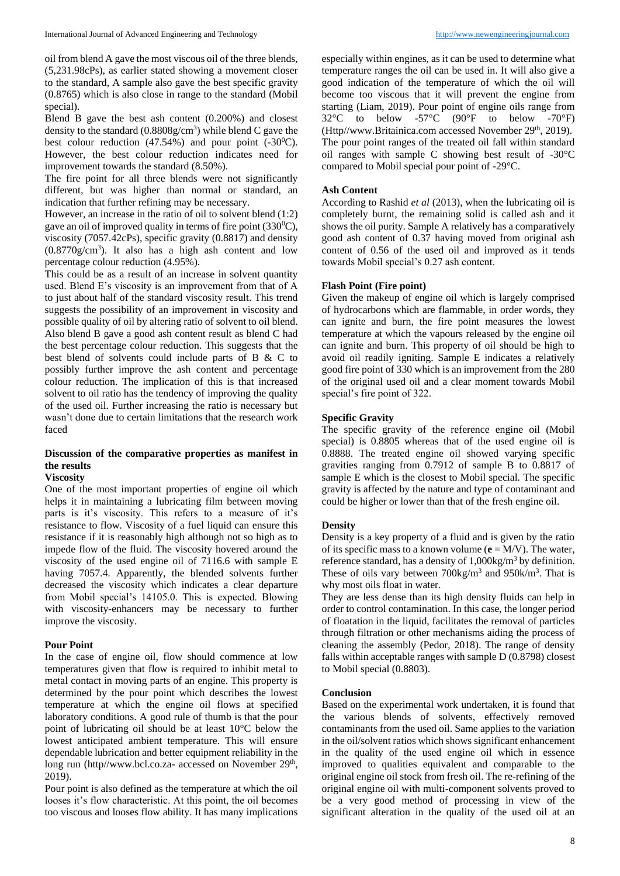oil from blend A gave the most viscous oil of the three blends, (5,231.98cPs), as earlier stated showing a movement closer to the standard, A sample also gave the best specific gravity (0.8765) which is also close in range to the standard (Mobil special).

Blend B gave the best ash content (0.200%) and closest density to the standard  $(0.8808g/cm<sup>3</sup>)$  while blend C gave the best colour reduction  $(47.54%)$  and pour point  $(-30^{\circ}C)$ . However, the best colour reduction indicates need for improvement towards the standard (8.50%).

The fire point for all three blends were not significantly different, but was higher than normal or standard, an indication that further refining may be necessary.

However, an increase in the ratio of oil to solvent blend (1:2) gave an oil of improved quality in terms of fire point  $(330^0C)$ , viscosity (7057.42cPs), specific gravity (0.8817) and density (0.8770g/cm<sup>3</sup> ). It also has a high ash content and low percentage colour reduction (4.95%).

This could be as a result of an increase in solvent quantity used. Blend E's viscosity is an improvement from that of A to just about half of the standard viscosity result. This trend suggests the possibility of an improvement in viscosity and possible quality of oil by altering ratio of solvent to oil blend. Also blend B gave a good ash content result as blend C had the best percentage colour reduction. This suggests that the best blend of solvents could include parts of B & C to possibly further improve the ash content and percentage colour reduction. The implication of this is that increased solvent to oil ratio has the tendency of improving the quality of the used oil. Further increasing the ratio is necessary but wasn't done due to certain limitations that the research work faced

# **Discussion of the comparative properties as manifest in the results**

## **Viscosity**

One of the most important properties of engine oil which helps it in maintaining a lubricating film between moving parts is it's viscosity. This refers to a measure of it's resistance to flow. Viscosity of a fuel liquid can ensure this resistance if it is reasonably high although not so high as to impede flow of the fluid. The viscosity hovered around the viscosity of the used engine oil of 7116.6 with sample E having 7057.4. Apparently, the blended solvents further decreased the viscosity which indicates a clear departure from Mobil special's 14105.0. This is expected. Blowing with viscosity-enhancers may be necessary to further improve the viscosity.

#### **Pour Point**

In the case of engine oil, flow should commence at low temperatures given that flow is required to inhibit metal to metal contact in moving parts of an engine. This property is determined by the pour point which describes the lowest temperature at which the engine oil flows at specified laboratory conditions. A good rule of thumb is that the pour point of lubricating oil should be at least 10°C below the lowest anticipated ambient temperature. This will ensure dependable lubrication and better equipment reliability in the long run (http//www.bcl.co.za- accessed on November 29<sup>th</sup>, 2019).

Pour point is also defined as the temperature at which the oil looses it's flow characteristic. At this point, the oil becomes too viscous and looses flow ability. It has many implications

especially within engines, as it can be used to determine what temperature ranges the oil can be used in. It will also give a good indication of the temperature of which the oil will become too viscous that it will prevent the engine from starting (Liam, 2019). Pour point of engine oils range from  $32^{\circ}$ C to below -57°C (90°F to below -70°F) (Http//www.Britainica.com accessed November 29<sup>th</sup>, 2019). The pour point ranges of the treated oil fall within standard oil ranges with sample C showing best result of -30°C compared to Mobil special pour point of -29°C.

#### **Ash Content**

According to Rashid *et al* (2013), when the lubricating oil is completely burnt, the remaining solid is called ash and it shows the oil purity. Sample A relatively has a comparatively good ash content of 0.37 having moved from original ash content of 0.56 of the used oil and improved as it tends towards Mobil special's 0.27 ash content.

#### **Flash Point (Fire point)**

Given the makeup of engine oil which is largely comprised of hydrocarbons which are flammable, in order words, they can ignite and burn, the fire point measures the lowest temperature at which the vapours released by the engine oil can ignite and burn. This property of oil should be high to avoid oil readily igniting. Sample E indicates a relatively good fire point of 330 which is an improvement from the 280 of the original used oil and a clear moment towards Mobil special's fire point of 322.

#### **Specific Gravity**

The specific gravity of the reference engine oil (Mobil special) is 0.8805 whereas that of the used engine oil is 0.8888. The treated engine oil showed varying specific gravities ranging from 0.7912 of sample B to 0.8817 of sample E which is the closest to Mobil special. The specific gravity is affected by the nature and type of contaminant and could be higher or lower than that of the fresh engine oil.

#### **Density**

Density is a key property of a fluid and is given by the ratio of its specific mass to a known volume  $(e = M/V)$ . The water, reference standard, has a density of  $1,000\text{kg/m}^3$  by definition. These of oils vary between  $700\text{kg/m}^3$  and  $950\text{k/m}^3$ . That is why most oils float in water.

They are less dense than its high density fluids can help in order to control contamination. In this case, the longer period of floatation in the liquid, facilitates the removal of particles through filtration or other mechanisms aiding the process of cleaning the assembly (Pedor, 2018). The range of density falls within acceptable ranges with sample D (0.8798) closest to Mobil special (0.8803).

## **Conclusion**

Based on the experimental work undertaken, it is found that the various blends of solvents, effectively removed contaminants from the used oil. Same applies to the variation in the oil/solvent ratios which shows significant enhancement in the quality of the used engine oil which in essence improved to qualities equivalent and comparable to the original engine oil stock from fresh oil. The re-refining of the original engine oil with multi-component solvents proved to be a very good method of processing in view of the significant alteration in the quality of the used oil at an